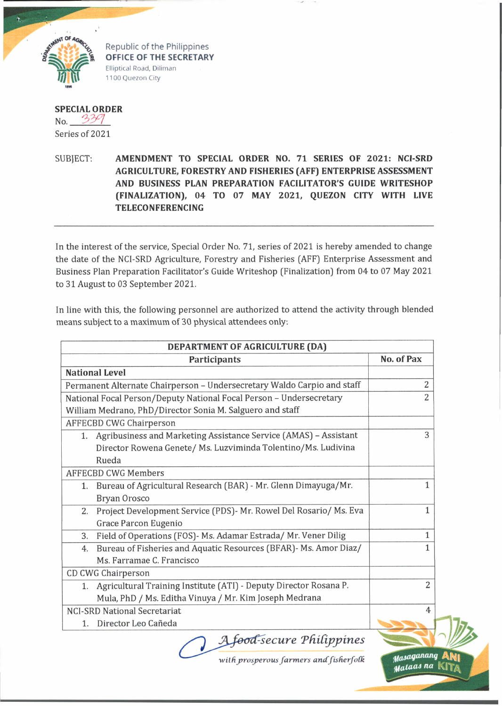

Republic of the Philippines OFFICE OF THE SECRETARY Elliptical Road, Diliman 1100 Quezon City

**SPECIAL ORDER**  $No. 339$ Series of 2021

SUBJECT. **AMENDMENT TO SPECIAL ORDER NO. 71 SERIES OF 2021: NCI-SRD AGRICULTURE, FORESTRY AND FISHERIES (AFF) ENTERPRISE ASSESSMENT AND BUSINESS PLAN PREPARATION FACILITATOR'S GUIDE WRITESHOP (FINALIZATION), 04 TO 07 MAY 2021, QUEZON CITY WITH LIVE TELECONFERENCING**

In the interest of the service, Special Order No. 71, series of 2021 is hereby amended to change the date of the NCI-SRD Agriculture, Forestry and Fisheries (AFF) Enterprise Assessment and Business Plan Preparation Facilitator's Guide Writeshop (Finalization) from 04 to 07 May 2021 to 31 August to 03 September 2021.

In line with this, the following personnel are authorized to attend the activity through blended means subject to a maximum of 30 physical attendees only.

| DEPARTMENT OF AGRICULTURE (DA)                                          |                |  |
|-------------------------------------------------------------------------|----------------|--|
| Participants                                                            | No. of Pax     |  |
| <b>National Level</b>                                                   |                |  |
| Permanent Alternate Chairperson - Undersecretary Waldo Carpio and staff | 2              |  |
| National Focal Person/Deputy National Focal Person - Undersecretary     | $\overline{2}$ |  |
| William Medrano, PhD/Director Sonia M. Salguero and staff               |                |  |
| <b>AFFECBD CWG Chairperson</b>                                          |                |  |
| Agribusiness and Marketing Assistance Service (AMAS) - Assistant<br>1.  | 3              |  |
| Director Rowena Genete/ Ms. Luzviminda Tolentino/Ms. Ludivina           |                |  |
| Rueda                                                                   |                |  |
| <b>AFFECBD CWG Members</b>                                              |                |  |
| Bureau of Agricultural Research (BAR) - Mr. Glenn Dimayuga/Mr.<br>1.    | 1              |  |
| Bryan Orosco                                                            |                |  |
| Project Development Service (PDS)- Mr. Rowel Del Rosario/ Ms. Eva<br>2. | $\mathbf{1}$   |  |
| Grace Parcon Eugenio                                                    |                |  |
| Field of Operations (FOS)- Ms. Adamar Estrada/ Mr. Vener Dilig<br>3.    | 1              |  |
| Bureau of Fisheries and Aquatic Resources (BFAR)- Ms. Amor Diaz/<br>4.  | 1              |  |
| Ms. Farramae C. Francisco                                               |                |  |
| CD CWG Chairperson                                                      |                |  |
| Agricultural Training Institute (ATI) - Deputy Director Rosana P.<br>1. | 2              |  |
| Mula, PhD / Ms. Editha Vinuya / Mr. Kim Joseph Medrana                  |                |  |
| <b>NCI-SRD National Secretariat</b>                                     | 4              |  |
| Director Leo Cañeda<br>1.                                               |                |  |
| A food-secure Philippines                                               |                |  |
| with prosperous farmers and fisherfolk                                  | Masaganang     |  |

*withprosperous farmers andJisherfoCk*

Malaas na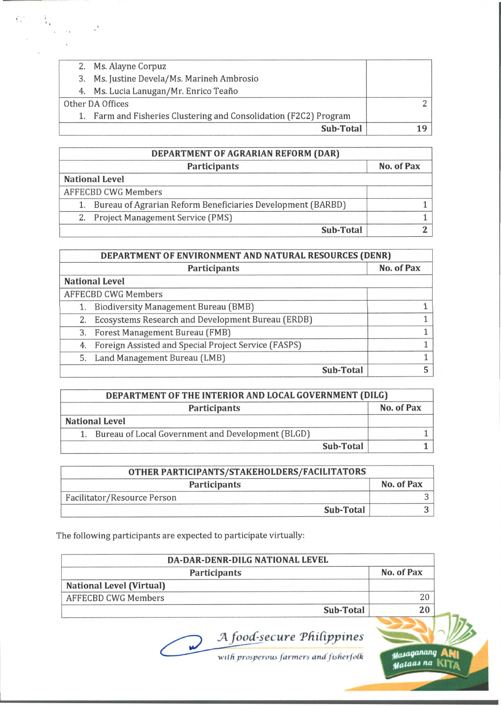|  | Sub-Total                                                         |  |
|--|-------------------------------------------------------------------|--|
|  | 1. Farm and Fisheries Clustering and Consolidation (F2C2) Program |  |
|  | Other DA Offices                                                  |  |
|  | 4. Ms. Lucia Lanugan/Mr. Enrico Teaño                             |  |
|  | 3. Ms. Justine Devela/Ms. Marineh Ambrosio                        |  |
|  | 2. Ms. Alayne Corpuz                                              |  |

| DEPARTMENT OF AGRARIAN REFORM (DAR)                            |            |  |
|----------------------------------------------------------------|------------|--|
| Participants                                                   | No. of Pax |  |
| <b>National Level</b>                                          |            |  |
| <b>AFFECBD CWG Members</b>                                     |            |  |
| 1. Bureau of Agrarian Reform Beneficiaries Development (BARBD) |            |  |
| 2. Project Management Service (PMS)                            |            |  |
| Sub-Total                                                      |            |  |

| DEPARTMENT OF ENVIRONMENT AND NATURAL RESOURCES (DENR) |                                                         |            |
|--------------------------------------------------------|---------------------------------------------------------|------------|
|                                                        | <b>Participants</b>                                     | No. of Pax |
|                                                        | <b>National Level</b>                                   |            |
|                                                        | <b>AFFECBD CWG Members</b>                              |            |
|                                                        | 1. Biodiversity Management Bureau (BMB)                 |            |
| 2.                                                     | Ecosystems Research and Development Bureau (ERDB)       |            |
|                                                        | 3. Forest Management Bureau (FMB)                       |            |
|                                                        | 4. Foreign Assisted and Special Project Service (FASPS) |            |
|                                                        | 5. Land Management Bureau (LMB)                         |            |
|                                                        | <b>Sub-Total</b>                                        | 5          |

| DEPARTMENT OF THE INTERIOR AND LOCAL GOVERNMENT (DILG) |                                                   |            |
|--------------------------------------------------------|---------------------------------------------------|------------|
|                                                        | Participants                                      | No. of Pax |
|                                                        | <b>National Level</b>                             |            |
|                                                        | Bureau of Local Government and Development (BLGD) |            |
|                                                        | <b>Sub-Total</b>                                  |            |

| OTHER PARTICIPANTS/STAKEHOLDERS/FACILITATORS |            |  |
|----------------------------------------------|------------|--|
| <b>Participants</b>                          | No. of Pax |  |
| Facilitator/Resource Person                  |            |  |
| Sub-Total                                    |            |  |

The following participants are expected to participate virtually:

| DA-DAR-DENR-DILG NATIONAL LEVEL                                     |            |
|---------------------------------------------------------------------|------------|
| <b>Participants</b>                                                 | No. of Pax |
| <b>National Level (Virtual)</b>                                     |            |
| <b>AFFECBD CWG Members</b>                                          | 20         |
| Sub-Total                                                           | 20         |
| A food-secure Philippines<br>with prosperous farmers and fisherfolk |            |